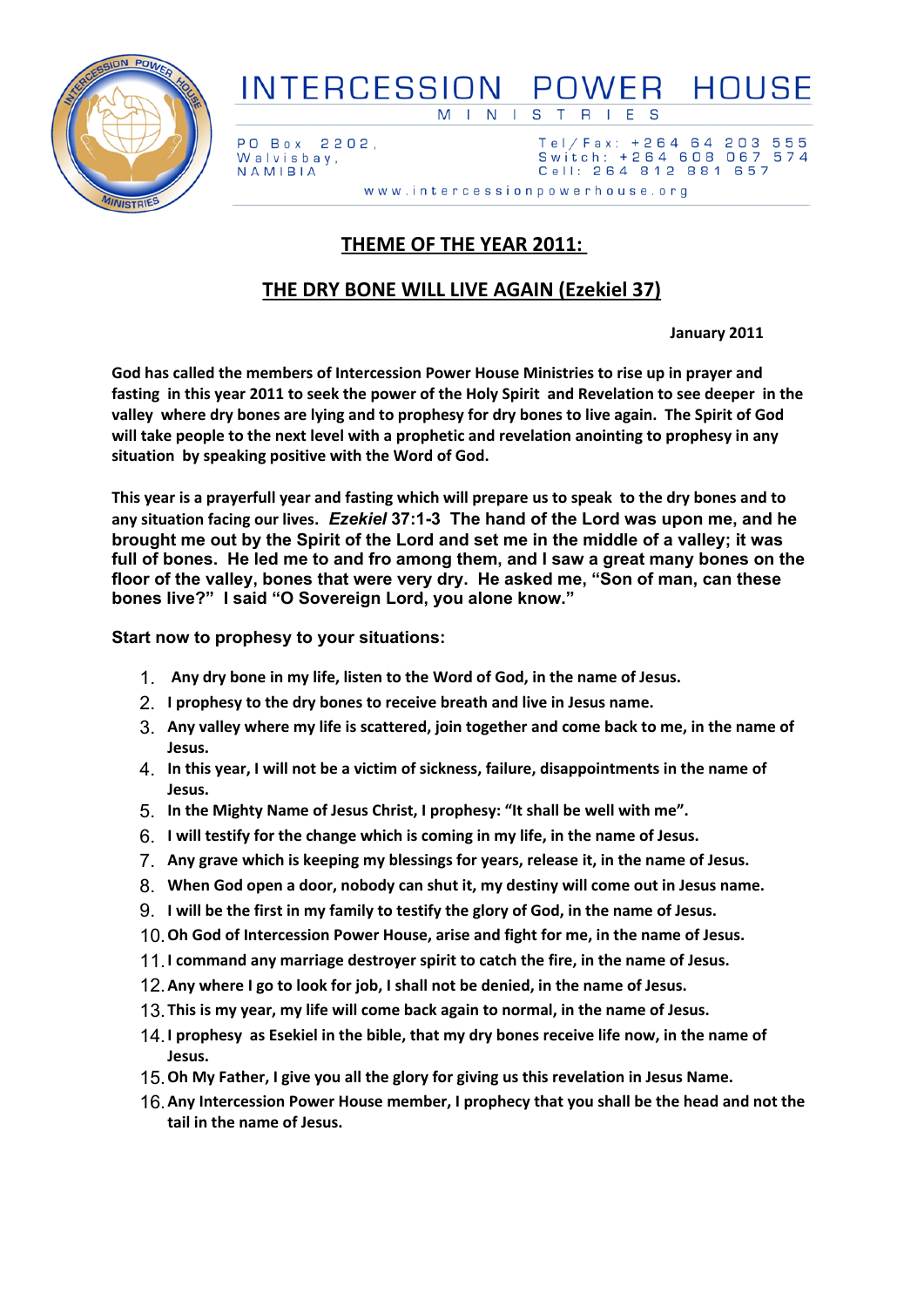

## INTERCESSION POWER HOUSE **MINISTRIES**

2202, PO Box Walvisbay, NAMIBIA

 $Tel / Fax: + 264 64$ 203 555 Switch: +264 608 067 574 Cell: 264 812 881 657

www.intercessionpowerhouse.org

## **THEME OF THE YEAR 2011:**

## **THE DRY BONE WILL LIVE AGAIN (Ezekiel 37)**

**January 2011**

**God has called the members of Intercession Power House Ministries to rise up in prayer and** fasting in this year 2011 to seek the power of the Holy Spirit and Revelation to see deeper in the valley where dry bones are lying and to prophesy for dry bones to live again. The Spirit of God **will take people to the next level with a prophetic and revelation anointing to prophesy in any situation by speaking positive with the Word of God.**

This year is a prayerfull year and fasting which will prepare us to speak to the dry bones and to **any situation facing our lives.** *Ezekiel* **37:1-3 The hand of the Lord was upon me, and he** brought me out by the Spirit of the Lord and set me in the middle of a valley: it was **full of bones. He led me to and fro among them, and I saw a great many bones on the floor of the valley, bones that were very dry. He asked me, "Son of man, can these bones live?" I said "O Sovereign Lord, you alone know."**

**Start now to prophesy to your situations:**

- 1. **Any dry bone in my life, listen to the Word of God, in the name of Jesus.**
- 2. **I prophesy to the dry bones to receive breath and live in Jesus name.**
- 3. **Any valley where my life is scattered, join together and come back to me, in the name of Jesus.**
- 4. **In this year, I will not be a victim of sickness, failure, disappointments in the name of Jesus.**
- 5. **In the Mighty Name of Jesus Christ, I prophesy: "It shall be well with me".**
- 6. **I will testify for the change which is coming in my life, in the name of Jesus.**
- 7. **Any grave which is keeping my blessings for years, release it, in the name of Jesus.**
- 8. **When God open a door, nobody can shut it, my destiny will come out in Jesus name.**
- 9. **I will be the first in my family to testify the glory of God, in the name of Jesus.**
- 10.**Oh God of Intercession Power House, arise and fight for me, in the name of Jesus.**
- 11.**I command any marriage destroyer spirit to catch the fire, in the name of Jesus.**
- 12.**Any where I go to look for job, I shall not be denied, in the name of Jesus.**
- 13.**This is my year, my life will come back again to normal, in the name of Jesus.**
- 14.**I prophesy as Esekiel in the bible, that my dry bones receive life now, in the name of Jesus.**
- 15.**Oh My Father, I give you all the glory for giving us this revelation in Jesus Name.**
- 16.**Any Intercession Power House member, I prophecy that you shall be the head and not the tail in the name of Jesus.**